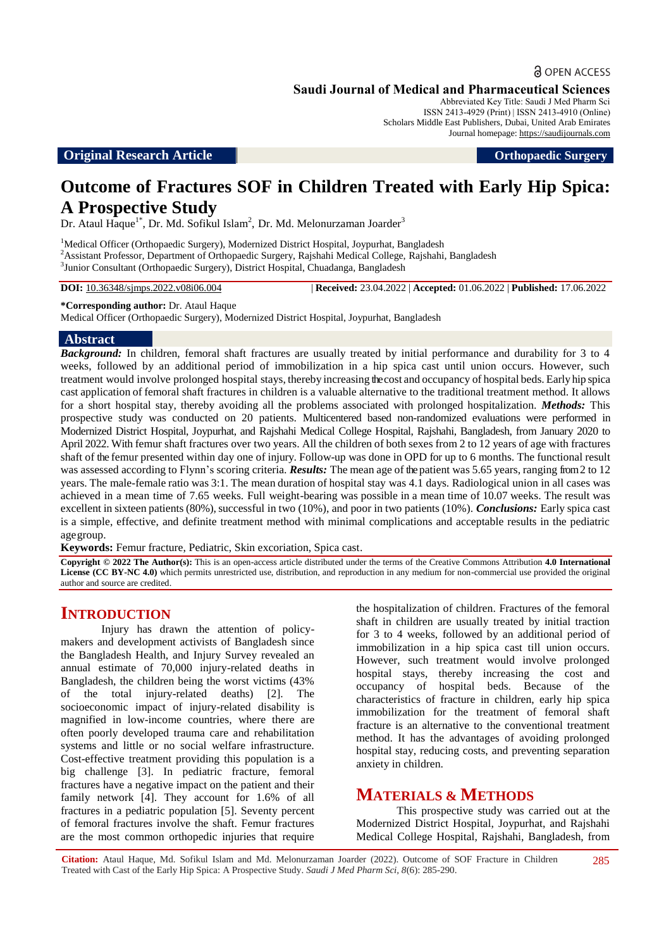a OPEN ACCESS

Abbreviated Key Title: Saudi J Med Pharm Sci ISSN 2413-4929 (Print) | ISSN 2413-4910 (Online) Scholars Middle East Publishers, Dubai, United Arab Emirates Journal homepage: [https://saudijournals.com](https://saudijournals.com/sjmps)

#### **Original Research Article Department of the Contract of Contract Article Contract of Contract Article <b>Orthopaedic Surgery**

# **Outcome of Fractures SOF in Children Treated with Early Hip Spica: A Prospective Study**

Dr. Ataul Haque<sup>1\*</sup>, Dr. Md. Sofikul Islam<sup>2</sup>, Dr. Md. Melonurzaman Joarder<sup>3</sup>

<sup>1</sup>Medical Officer (Orthopaedic Surgery), Modernized District Hospital, Joypurhat, Bangladesh <sup>2</sup>Assistant Professor, Department of Orthopaedic Surgery, Rajshahi Medical College, Rajshahi, Bangladesh 3 Junior Consultant (Orthopaedic Surgery), District Hospital, Chuadanga, Bangladesh

**DOI:** 10.36348/sjmps.2022.v08i06.004 | **Received:** 23.04.2022 | **Accepted:** 01.06.2022 | **Published:** 17.06.2022

**\*Corresponding author:** Dr. Ataul Haque

Medical Officer (Orthopaedic Surgery), Modernized District Hospital, Joypurhat, Bangladesh

#### **Abstract**

*Background:* In children, femoral shaft fractures are usually treated by initial performance and durability for 3 to 4 weeks, followed by an additional period of immobilization in a hip spica cast until union occurs. However, such treatment would involve prolonged hospital stays, thereby increasing the cost and occupancy of hospital beds. Early hip spica cast application of femoral shaft fractures in children is a valuable alternative to the traditional treatment method. It allows for a short hospital stay, thereby avoiding all the problems associated with prolonged hospitalization. *Methods:* This prospective study was conducted on 20 patients. Multicentered based non-randomized evaluations were performed in Modernized District Hospital, Joypurhat, and Rajshahi Medical College Hospital, Rajshahi, Bangladesh, from January 2020 to April 2022. With femur shaft fractures over two years. All the children of both sexes from 2 to 12 years of age with fractures shaft of the femur presented within day one of injury. Follow-up was done in OPD for up to 6 months. The functional result was assessed according to Flynn's scoring criteria. *Results:* The mean age of the patient was 5.65 years, ranging from 2 to 12 years. The male-female ratio was 3:1. The mean duration of hospital stay was 4.1 days. Radiological union in all cases was achieved in a mean time of 7.65 weeks. Full weight-bearing was possible in a mean time of 10.07 weeks. The result was excellent in sixteen patients (80%), successful in two (10%), and poor in two patients (10%). *Conclusions:* Early spica cast is a simple, effective, and definite treatment method with minimal complications and acceptable results in the pediatric agegroup.

**Keywords:** Femur fracture, Pediatric, Skin excoriation, Spica cast.

**Copyright © 2022 The Author(s):** This is an open-access article distributed under the terms of the Creative Commons Attribution **4.0 International License (CC BY-NC 4.0)** which permits unrestricted use, distribution, and reproduction in any medium for non-commercial use provided the original author and source are credited.

### **INTRODUCTION**

Injury has drawn the attention of policymakers and development activists of Bangladesh since the Bangladesh Health, and Injury Survey revealed an annual estimate of 70,000 injury-related deaths in Bangladesh, the children being the worst victims (43% of the total injury-related deaths) [2]. The socioeconomic impact of injury-related disability is magnified in low-income countries, where there are often poorly developed trauma care and rehabilitation systems and little or no social welfare infrastructure. Cost-effective treatment providing this population is a big challenge [3]. In pediatric fracture, femoral fractures have a negative impact on the patient and their family network [4]. They account for 1.6% of all fractures in a pediatric population [5]. Seventy percent of femoral fractures involve the shaft. Femur fractures are the most common orthopedic injuries that require

the hospitalization of children. Fractures of the femoral shaft in children are usually treated by initial traction for 3 to 4 weeks, followed by an additional period of immobilization in a hip spica cast till union occurs. However, such treatment would involve prolonged hospital stays, thereby increasing the cost and occupancy of hospital beds. Because of the characteristics of fracture in children, early hip spica immobilization for the treatment of femoral shaft fracture is an alternative to the conventional treatment method. It has the advantages of avoiding prolonged hospital stay, reducing costs, and preventing separation anxiety in children.

# **MATERIALS & METHODS**

This prospective study was carried out at the Modernized District Hospital, Joypurhat, and Rajshahi Medical College Hospital, Rajshahi, Bangladesh, from

**Citation:** Ataul Haque, Md. Sofikul Islam and Md. Melonurzaman Joarder (2022). Outcome of SOF Fracture in Children Treated with Cast of the Early Hip Spica: A Prospective Study. *Saudi J Med Pharm Sci, 8*(6): 285-290.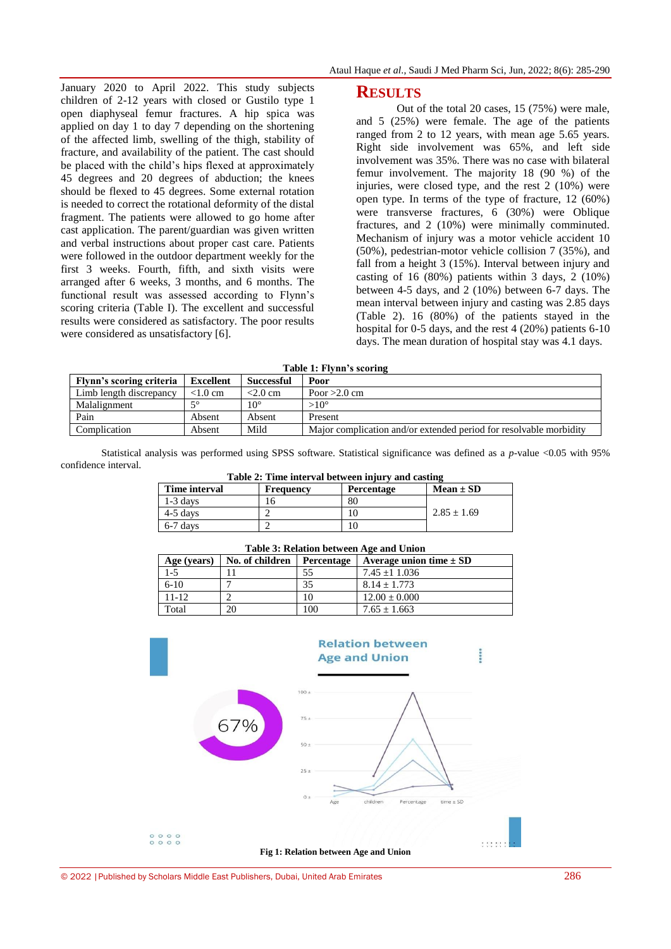January 2020 to April 2022. This study subjects children of 2-12 years with closed or Gustilo type 1 open diaphyseal femur fractures. A hip spica was applied on day 1 to day 7 depending on the shortening of the affected limb, swelling of the thigh, stability of fracture, and availability of the patient. The cast should be placed with the child's hips flexed at approximately 45 degrees and 20 degrees of abduction; the knees should be flexed to 45 degrees. Some external rotation is needed to correct the rotational deformity of the distal fragment. The patients were allowed to go home after cast application. The parent/guardian was given written and verbal instructions about proper cast care. Patients were followed in the outdoor department weekly for the first 3 weeks. Fourth, fifth, and sixth visits were arranged after 6 weeks, 3 months, and 6 months. The functional result was assessed according to Flynn's scoring criteria (Table I). The excellent and successful results were considered as satisfactory. The poor results were considered as unsatisfactory [6].

#### **RESULTS**

Out of the total 20 cases, 15 (75%) were male, and 5 (25%) were female. The age of the patients ranged from 2 to 12 years, with mean age 5.65 years. Right side involvement was 65%, and left side involvement was 35%. There was no case with bilateral femur involvement. The majority 18 (90 %) of the injuries, were closed type, and the rest 2 (10%) were open type. In terms of the type of fracture, 12 (60%) were transverse fractures, 6 (30%) were Oblique fractures, and 2 (10%) were minimally comminuted. Mechanism of injury was a motor vehicle accident 10 (50%), pedestrian-motor vehicle collision 7 (35%), and fall from a height 3 (15%). Interval between injury and casting of 16 (80%) patients within 3 days, 2 (10%) between 4-5 days, and 2 (10%) between 6-7 days. The mean interval between injury and casting was 2.85 days (Table 2). 16 (80%) of the patients stayed in the hospital for 0-5 days, and the rest 4 (20%) patients 6-10 days. The mean duration of hospital stay was 4.1 days.

**Table 1: Flynn's scoring**

| Flynn's scoring criteria | Excellent  | Successful   | Poor                                                               |
|--------------------------|------------|--------------|--------------------------------------------------------------------|
| Limb length discrepancy  | $< 1.0$ cm | $<$ 2.0 cm   | Poor $>2.0$ cm                                                     |
| Malalignment             | $\sim$     | $10^{\circ}$ | $>10^{\circ}$                                                      |
| Pain                     | Absent     | Absent       | Present                                                            |
| Complication             | Absent     | Mild         | Major complication and/or extended period for resolvable morbidity |

Statistical analysis was performed using SPSS software. Statistical significance was defined as a *p*-value <0.05 with 95% confidence interval. **Table 2: Time interval between injury and casting**

| Time interval | Frequency | Table 2: Time interval between injury and casume<br>Percentage | $Mean \pm SD$ |
|---------------|-----------|----------------------------------------------------------------|---------------|
| $1-3$ days    |           | 80                                                             |               |
| $4-5$ days    |           |                                                                | $2.85 + 1.69$ |
| $6-7$ days    |           |                                                                |               |

| Age (years) | No. of children | Percentage | Average union time $\pm$ SD |
|-------------|-----------------|------------|-----------------------------|
| $1 - 5$     |                 | 55         | $7.45 + 1.036$              |
| $6-10$      |                 | 35         | $8.14 + 1.773$              |
| $11 - 12$   |                 | 10         | $12.00 \pm 0.000$           |
| Total       | 20              | 100        | $7.65 \pm 1.663$            |
|             |                 |            |                             |

**Table 3: Relation between Age and Union**

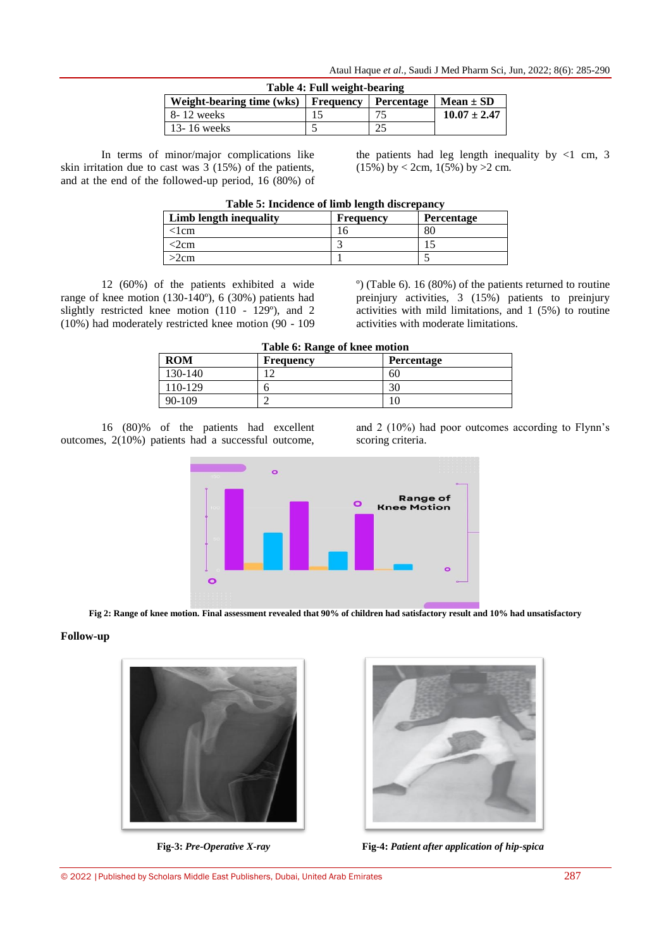| Table 4: Full weight-bearing          |  |                                   |                  |
|---------------------------------------|--|-----------------------------------|------------------|
| Weight-bearing time (wks)   Frequency |  | <b>Percentage</b>   Mean $\pm$ SD |                  |
| 8-12 weeks                            |  | 75                                | $10.07 \pm 2.47$ |
| $13 - 16$ weeks                       |  |                                   |                  |

In terms of minor/major complications like skin irritation due to cast was 3 (15%) of the patients, and at the end of the followed-up period, 16 (80%) of the patients had leg length inequality by  $\lt 1$  cm, 3  $(15\%)$  by < 2cm,  $1(5\%)$  by >2 cm.

| Table 5: Incidence of limb length discrepancy |  |
|-----------------------------------------------|--|
|-----------------------------------------------|--|

| Limb length inequality | Frequency | Percentage |
|------------------------|-----------|------------|
| 1 <sub>cm</sub>        |           | 80         |
| 2cm                    |           |            |
| 2cm                    |           |            |

12 (60%) of the patients exhibited a wide range of knee motion (130-140º), 6 (30%) patients had slightly restricted knee motion (110 - 129º), and 2 (10%) had moderately restricted knee motion (90 - 109 º) (Table 6). 16 (80%) of the patients returned to routine preinjury activities, 3 (15%) patients to preinjury activities with mild limitations, and 1 (5%) to routine activities with moderate limitations.

|  |  |  |  |  | Table 6: Range of knee motion |
|--|--|--|--|--|-------------------------------|
|--|--|--|--|--|-------------------------------|

| <b>ROM</b> | Frequency | Percentage |
|------------|-----------|------------|
| 130-140    |           | 60         |
| 110-129    |           | 30         |
| $90-109$   |           | ΙU         |

16 (80)% of the patients had excellent outcomes, 2(10%) patients had a successful outcome,

and 2 (10%) had poor outcomes according to Flynn's scoring criteria.



**Fig 2: Range of knee motion. Final assessment revealed that 90% of children had satisfactory result and 10% had unsatisfactory**

#### **Follow-up**





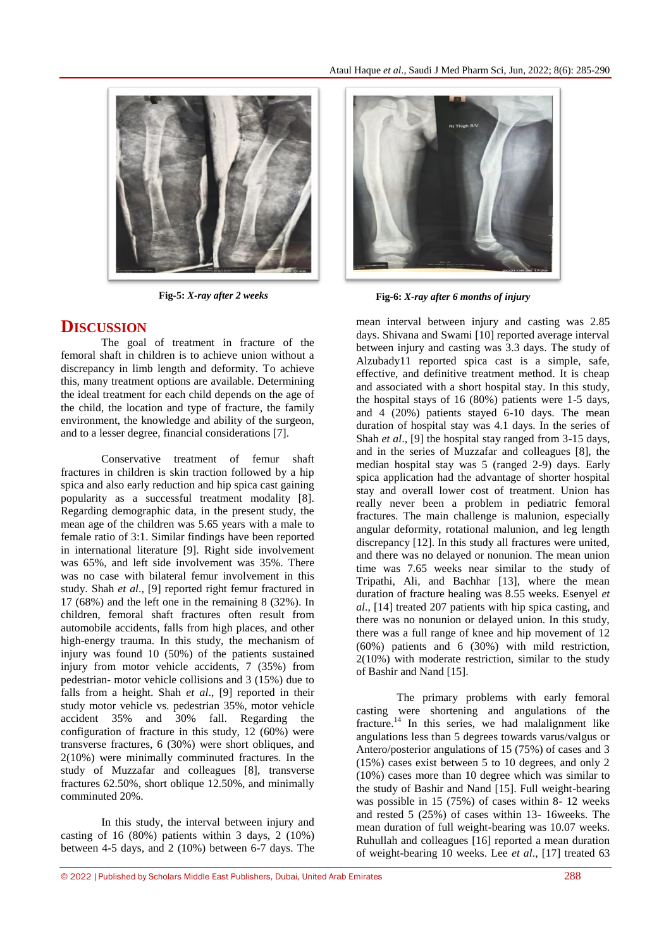

# **DISCUSSION**

The goal of treatment in fracture of the femoral shaft in children is to achieve union without a discrepancy in limb length and deformity. To achieve this, many treatment options are available. Determining the ideal treatment for each child depends on the age of the child, the location and type of fracture, the family environment, the knowledge and ability of the surgeon, and to a lesser degree, financial considerations [7].

Conservative treatment of femur shaft fractures in children is skin traction followed by a hip spica and also early reduction and hip spica cast gaining popularity as a successful treatment modality [8]. Regarding demographic data, in the present study, the mean age of the children was 5.65 years with a male to female ratio of 3:1. Similar findings have been reported in international literature [9]. Right side involvement was 65%, and left side involvement was 35%. There was no case with bilateral femur involvement in this study. Shah *et al*., [9] reported right femur fractured in 17 (68%) and the left one in the remaining 8 (32%). In children, femoral shaft fractures often result from automobile accidents, falls from high places, and other high-energy trauma. In this study, the mechanism of injury was found 10 (50%) of the patients sustained injury from motor vehicle accidents, 7 (35%) from pedestrian- motor vehicle collisions and 3 (15%) due to falls from a height. Shah *et al*., [9] reported in their study motor vehicle vs. pedestrian 35%, motor vehicle accident 35% and 30% fall. Regarding the configuration of fracture in this study, 12 (60%) were transverse fractures, 6 (30%) were short obliques, and 2(10%) were minimally comminuted fractures. In the study of Muzzafar and colleagues [8], transverse fractures 62.50%, short oblique 12.50%, and minimally comminuted 20%.

In this study, the interval between injury and casting of 16  $(80\%)$  patients within 3 days, 2  $(10\%)$ between 4-5 days, and 2 (10%) between 6-7 days. The



**Fig-5:** *X-ray after 2 weeks* **Fig-6:** *X-ray after 6 months of injury*

mean interval between injury and casting was 2.85 days. Shivana and Swami [10] reported average interval between injury and casting was 3.3 days. The study of Alzubady11 reported spica cast is a simple, safe, effective, and definitive treatment method. It is cheap and associated with a short hospital stay. In this study, the hospital stays of 16 (80%) patients were 1-5 days, and 4 (20%) patients stayed 6-10 days. The mean duration of hospital stay was 4.1 days. In the series of Shah *et al*., [9] the hospital stay ranged from 3-15 days, and in the series of Muzzafar and colleagues [8], the median hospital stay was 5 (ranged 2-9) days. Early spica application had the advantage of shorter hospital stay and overall lower cost of treatment. Union has really never been a problem in pediatric femoral fractures. The main challenge is malunion, especially angular deformity, rotational malunion, and leg length discrepancy [12]. In this study all fractures were united, and there was no delayed or nonunion. The mean union time was 7.65 weeks near similar to the study of Tripathi, Ali, and Bachhar [13], where the mean duration of fracture healing was 8.55 weeks. Esenyel *et al*., [14] treated 207 patients with hip spica casting, and there was no nonunion or delayed union. In this study, there was a full range of knee and hip movement of 12 (60%) patients and 6 (30%) with mild restriction, 2(10%) with moderate restriction, similar to the study of Bashir and Nand [15].

The primary problems with early femoral casting were shortening and angulations of the fracture.<sup>14</sup> In this series, we had malalignment like angulations less than 5 degrees towards varus/valgus or Antero/posterior angulations of 15 (75%) of cases and 3 (15%) cases exist between 5 to 10 degrees, and only 2 (10%) cases more than 10 degree which was similar to the study of Bashir and Nand [15]. Full weight-bearing was possible in 15 (75%) of cases within 8- 12 weeks and rested 5 (25%) of cases within 13- 16weeks. The mean duration of full weight-bearing was 10.07 weeks. Ruhullah and colleagues [16] reported a mean duration of weight-bearing 10 weeks. Lee *et al*., [17] treated 63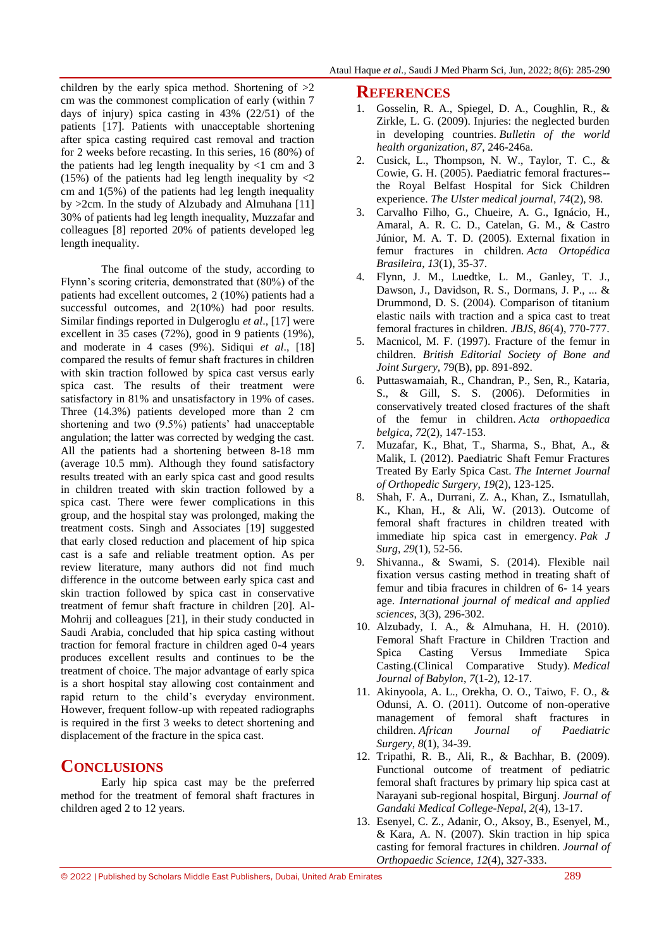children by the early spica method. Shortening of  $>2$ cm was the commonest complication of early (within 7 days of injury) spica casting in 43% (22/51) of the patients [17]. Patients with unacceptable shortening after spica casting required cast removal and traction for 2 weeks before recasting. In this series, 16 (80%) of the patients had leg length inequality by  $\lt 1$  cm and 3 (15%) of the patients had leg length inequality by  $\langle 2 \rangle$ cm and  $1(5\%)$  of the patients had leg length inequality by >2cm. In the study of Alzubady and Almuhana [11] 30% of patients had leg length inequality, Muzzafar and colleagues [8] reported 20% of patients developed leg length inequality.

The final outcome of the study, according to Flynn's scoring criteria, demonstrated that (80%) of the patients had excellent outcomes, 2 (10%) patients had a successful outcomes, and 2(10%) had poor results. Similar findings reported in Dulgeroglu *et al*., [17] were excellent in 35 cases (72%), good in 9 patients (19%), and moderate in 4 cases (9%). Sidiqui *et al*., [18] compared the results of femur shaft fractures in children with skin traction followed by spica cast versus early spica cast. The results of their treatment were satisfactory in 81% and unsatisfactory in 19% of cases. Three (14.3%) patients developed more than 2 cm shortening and two (9.5%) patients' had unacceptable angulation; the latter was corrected by wedging the cast. All the patients had a shortening between 8-18 mm (average 10.5 mm). Although they found satisfactory results treated with an early spica cast and good results in children treated with skin traction followed by a spica cast. There were fewer complications in this group, and the hospital stay was prolonged, making the treatment costs. Singh and Associates [19] suggested that early closed reduction and placement of hip spica cast is a safe and reliable treatment option. As per review literature, many authors did not find much difference in the outcome between early spica cast and skin traction followed by spica cast in conservative treatment of femur shaft fracture in children [20]. Al-Mohrij and colleagues [21], in their study conducted in Saudi Arabia, concluded that hip spica casting without traction for femoral fracture in children aged 0-4 years produces excellent results and continues to be the treatment of choice. The major advantage of early spica is a short hospital stay allowing cost containment and rapid return to the child's everyday environment. However, frequent follow-up with repeated radiographs is required in the first 3 weeks to detect shortening and displacement of the fracture in the spica cast.

### **CONCLUSIONS**

Early hip spica cast may be the preferred method for the treatment of femoral shaft fractures in children aged 2 to 12 years.

#### **REFERENCES**

- 1. Gosselin, R. A., Spiegel, D. A., Coughlin, R., & Zirkle, L. G. (2009). Injuries: the neglected burden in developing countries. *Bulletin of the world health organization*, *87*, 246-246a.
- 2. Cusick, L., Thompson, N. W., Taylor, T. C., & Cowie, G. H. (2005). Paediatric femoral fractures- the Royal Belfast Hospital for Sick Children experience. *The Ulster medical journal*, *74*(2), 98.
- 3. Carvalho Filho, G., Chueire, A. G., Ignácio, H., Amaral, A. R. C. D., Catelan, G. M., & Castro Júnior, M. A. T. D. (2005). External fixation in femur fractures in children. *Acta Ortopédica Brasileira*, *13*(1), 35-37.
- 4. Flynn, J. M., Luedtke, L. M., Ganley, T. J., Dawson, J., Davidson, R. S., Dormans, J. P., ... & Drummond, D. S. (2004). Comparison of titanium elastic nails with traction and a spica cast to treat femoral fractures in children. *JBJS*, *86*(4), 770-777.
- 5. Macnicol, M. F. (1997). Fracture of the femur in children. *British Editorial Society of Bone and Joint Surgery,* 79(B), pp. 891-892.
- 6. Puttaswamaiah, R., Chandran, P., Sen, R., Kataria, S., & Gill, S. S. (2006). Deformities in conservatively treated closed fractures of the shaft of the femur in children. *Acta orthopaedica belgica*, *72*(2), 147-153.
- 7. Muzafar, K., Bhat, T., Sharma, S., Bhat, A., & Malik, I. (2012). Paediatric Shaft Femur Fractures Treated By Early Spica Cast. *The Internet Journal of Orthopedic Surgery*, *19*(2), 123-125.
- 8. Shah, F. A., Durrani, Z. A., Khan, Z., Ismatullah, K., Khan, H., & Ali, W. (2013). Outcome of femoral shaft fractures in children treated with immediate hip spica cast in emergency. *Pak J Surg*, *29*(1), 52-56.
- 9. Shivanna., & Swami, S. (2014). Flexible nail fixation versus casting method in treating shaft of femur and tibia fracures in children of 6- 14 years age. *International journal of medical and applied sciences*, 3(3), 296-302.
- 10. Alzubady, I. A., & Almuhana, H. H. (2010). Femoral Shaft Fracture in Children Traction and Spica Casting Versus Immediate Spica Casting.(Clinical Comparative Study). *Medical Journal of Babylon*, *7*(1-2), 12-17.
- 11. Akinyoola, A. L., Orekha, O. O., Taiwo, F. O., & Odunsi, A. O. (2011). Outcome of non-operative management of femoral shaft fractures in children. *African Journal of Paediatric Surgery*, *8*(1), 34-39.
- 12. Tripathi, R. B., Ali, R., & Bachhar, B. (2009). Functional outcome of treatment of pediatric femoral shaft fractures by primary hip spica cast at Narayani sub-regional hospital, Birgunj. *Journal of Gandaki Medical College-Nepal*, *2*(4), 13-17.
- 13. Esenyel, C. Z., Adanir, O., Aksoy, B., Esenyel, M., & Kara, A. N. (2007). Skin traction in hip spica casting for femoral fractures in children. *Journal of Orthopaedic Science*, *12*(4), 327-333.

© 2022 |Published by Scholars Middle East Publishers, Dubai, United Arab Emirates 289